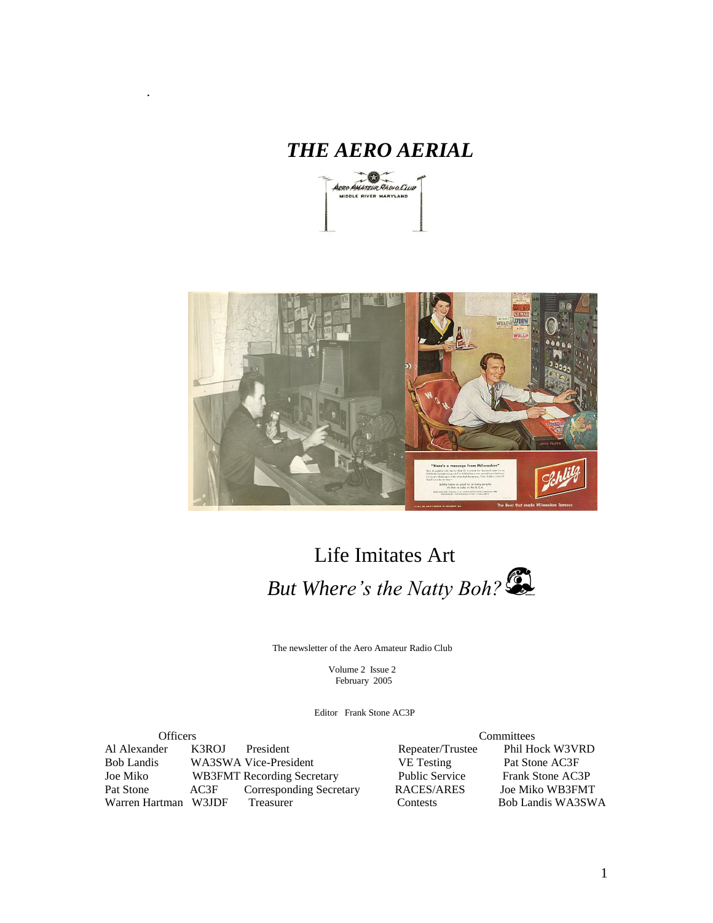# *THE AERO AERIAL*

.





# Life Imitates Art *But Where's the Natty Boh?*

The newsletter of the Aero Amateur Radio Club

 Volume 2 Issue 2 February 2005

Editor Frank Stone AC3P

| <b>Officers</b>      |           |                                                                                              | Committees              |
|----------------------|-----------|----------------------------------------------------------------------------------------------|-------------------------|
| K3ROJ                | President | Repeater/Trustee                                                                             | Phil Hock W3VRD         |
|                      |           | <b>VE</b> Testing                                                                            | Pat Stone AC3F          |
|                      |           | <b>Public Service</b>                                                                        | <b>Frank Stone AC3P</b> |
| AC3F                 |           | RACES/ARES                                                                                   | Joe Miko WB3FMT         |
| Warren Hartman W3JDF | Treasurer | <b>Contests</b>                                                                              | Bob Landis WA3SWA       |
|                      |           | WA3SWA Vice-President<br><b>WB3FMT</b> Recording Secretary<br><b>Corresponding Secretary</b> |                         |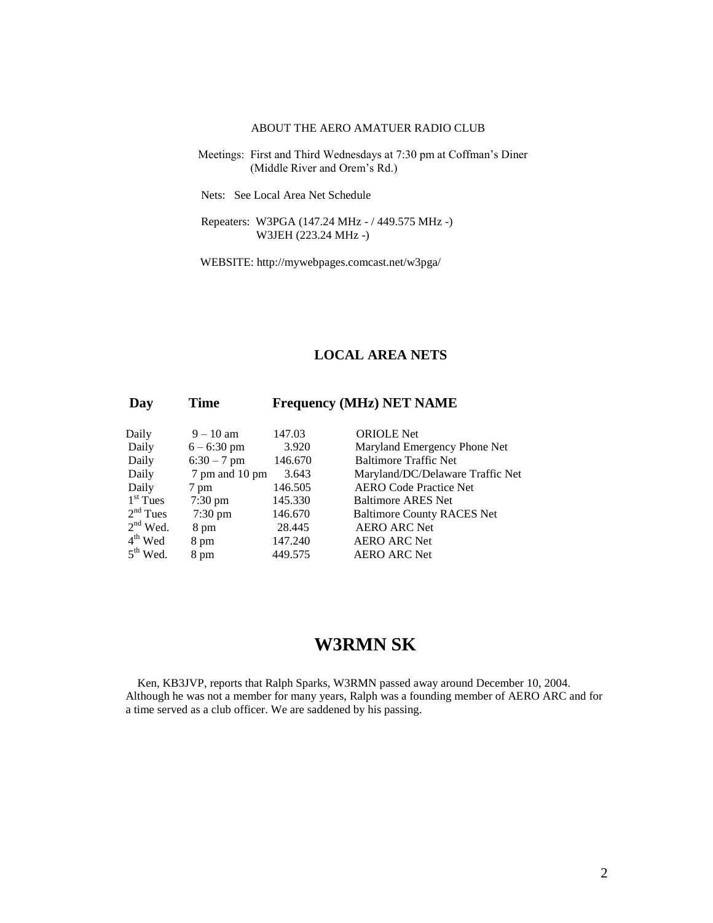### ABOUT THE AERO AMATUER RADIO CLUB

 Meetings: First and Third Wednesdays at 7:30 pm at Coffman's Diner (Middle River and Orem's Rd.)

Nets: See Local Area Net Schedule

 Repeaters: W3PGA (147.24 MHz - / 449.575 MHz -) W3JEH (223.24 MHz -)

WEBSITE: http://mywebpages.comcast.net/w3pga/

### **LOCAL AREA NETS**

### **Day Time Frequency (MHz) NET NAME**

| Daily               | $9 - 10$ am    | 147.03  |
|---------------------|----------------|---------|
| Daily               | $6 - 6:30$ pm  | 3.920   |
| Daily               | $6:30 - 7$ pm  | 146.670 |
| Daily               | 7 pm and 10 pm | 3.643   |
| Daily               | 7 pm           | 146.505 |
| $1st$ Tues          | 7:30 pm        | 145.330 |
| $2nd$ Tues          | 7:30 pm        | 146.670 |
| $2^{\rm nd}$ Wed.   | 8 pm           | 28.445  |
| $4^{\text{th}}$ Wed | 8 pm           | 147.240 |
| $5th$ Wed.          | 8 pm           | 449.575 |

**ORIOLE Net** Maryland Emergency Phone Net Baltimore Traffic Net Maryland/DC/Delaware Traffic Net AERO Code Practice Net Baltimore ARES Net Baltimore County RACES Net AERO ARC Net AERO ARC Net AERO ARC Net

# **W3RMN SK**

Ken, KB3JVP, reports that Ralph Sparks, W3RMN passed away around December 10, 2004. Although he was not a member for many years, Ralph was a founding member of AERO ARC and for a time served as a club officer. We are saddened by his passing.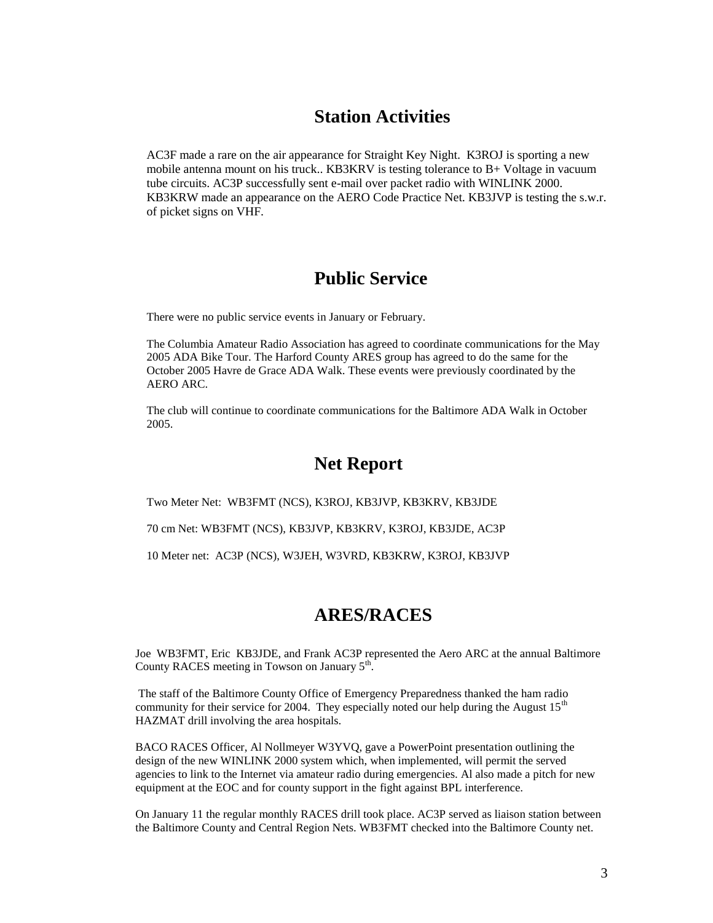### **Station Activities**

AC3F made a rare on the air appearance for Straight Key Night. K3ROJ is sporting a new mobile antenna mount on his truck.. KB3KRV is testing tolerance to B+ Voltage in vacuum tube circuits. AC3P successfully sent e-mail over packet radio with WINLINK 2000. KB3KRW made an appearance on the AERO Code Practice Net. KB3JVP is testing the s.w.r. of picket signs on VHF.

## **Public Service**

There were no public service events in January or February.

The Columbia Amateur Radio Association has agreed to coordinate communications for the May 2005 ADA Bike Tour. The Harford County ARES group has agreed to do the same for the October 2005 Havre de Grace ADA Walk. These events were previously coordinated by the AERO ARC.

The club will continue to coordinate communications for the Baltimore ADA Walk in October 2005.

# **Net Report**

Two Meter Net: WB3FMT (NCS), K3ROJ, KB3JVP, KB3KRV, KB3JDE

70 cm Net: WB3FMT (NCS), KB3JVP, KB3KRV, K3ROJ, KB3JDE, AC3P

10 Meter net: AC3P (NCS), W3JEH, W3VRD, KB3KRW, K3ROJ, KB3JVP

## **ARES/RACES**

Joe WB3FMT, Eric KB3JDE, and Frank AC3P represented the Aero ARC at the annual Baltimore County RACES meeting in Towson on January  $5<sup>th</sup>$ .

The staff of the Baltimore County Office of Emergency Preparedness thanked the ham radio community for their service for 2004. They especially noted our help during the August  $15<sup>th</sup>$ HAZMAT drill involving the area hospitals.

BACO RACES Officer, Al Nollmeyer W3YVQ, gave a PowerPoint presentation outlining the design of the new WINLINK 2000 system which, when implemented, will permit the served agencies to link to the Internet via amateur radio during emergencies. Al also made a pitch for new equipment at the EOC and for county support in the fight against BPL interference.

On January 11 the regular monthly RACES drill took place. AC3P served as liaison station between the Baltimore County and Central Region Nets. WB3FMT checked into the Baltimore County net.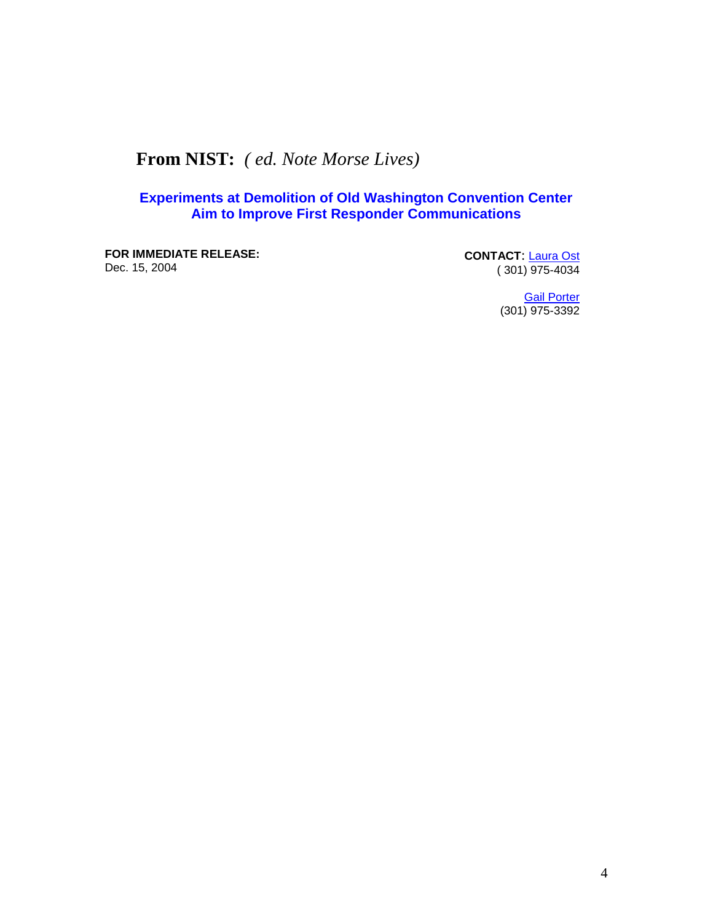# **From NIST:** *( ed. Note Morse Lives)*

### **Experiments at Demolition of Old Washington Convention Center Aim to Improve First Responder Communications**

**FOR IMMEDIATE RELEASE:** Dec. 15, 2004

**CONTACT**: [Laura Ost](mailto:laura.ost@nist.gov) ( 301) 975-4034

> **[Gail Porter](mailto:gail.porter@nist.gov)** (301) 975-3392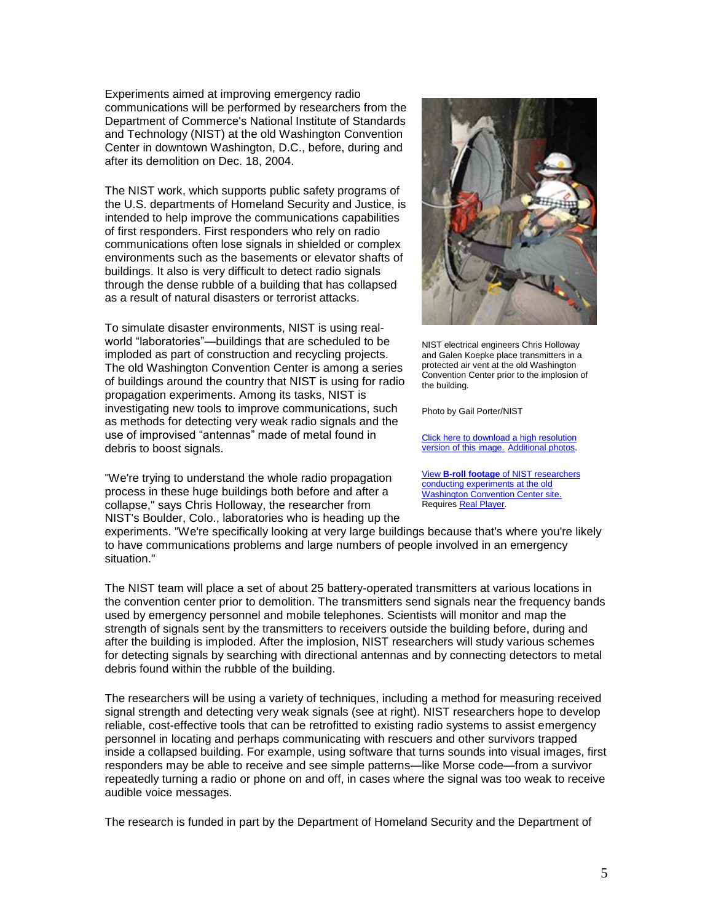Experiments aimed at improving emergency radio communications will be performed by researchers from the Department of Commerce's National Institute of Standards and Technology (NIST) at the old Washington Convention Center in downtown Washington, D.C., before, during and after its demolition on Dec. 18, 2004.

The NIST work, which supports public safety programs of the U.S. departments of Homeland Security and Justice, is intended to help improve the communications capabilities of first responders. First responders who rely on radio communications often lose signals in shielded or complex environments such as the basements or elevator shafts of buildings. It also is very difficult to detect radio signals through the dense rubble of a building that has collapsed as a result of natural disasters or terrorist attacks.

To simulate disaster environments, NIST is using realworld "laboratories"—buildings that are scheduled to be imploded as part of construction and recycling projects. The old Washington Convention Center is among a series of buildings around the country that NIST is using for radio propagation experiments. Among its tasks, NIST is investigating new tools to improve communications, such as methods for detecting very weak radio signals and the use of improvised "antennas" made of metal found in debris to boost signals.

"We're trying to understand the whole radio propagation process in these huge buildings both before and after a collapse," says Chris Holloway, the researcher from NIST's Boulder, Colo., laboratories who is heading up the



NIST electrical engineers Chris Holloway and Galen Koepke place transmitters in a protected air vent at the old Washington Convention Center prior to the implosion of the building.

Photo by Gail Porter/NIST

[Click here to download a high resolution](http://www.nist.gov/public_affairs/images/Implosion_Site1_Holloway_Koepke.jpg)  [version of this image.](http://www.nist.gov/public_affairs/images/Implosion_Site1_Holloway_Koepke.jpg) [Additional photos.](http://www.nist.gov/public_affairs/releases/demolition_extraphotos.htm)

View **B-roll footage** [of NIST researchers](http://realex.nist.gov:8080/ramgen/implosion.rm)  [conducting experiments at the old](http://realex.nist.gov:8080/ramgen/implosion.rm)  [Washington Convention Center site.](http://realex.nist.gov:8080/ramgen/implosion.rm) Require[s Real Player.](http://www.real.com/freeplayer/?rppr=rnresources)

experiments. "We're specifically looking at very large buildings because that's where you're likely to have communications problems and large numbers of people involved in an emergency situation."

The NIST team will place a set of about 25 battery-operated transmitters at various locations in the convention center prior to demolition. The transmitters send signals near the frequency bands used by emergency personnel and mobile telephones. Scientists will monitor and map the strength of signals sent by the transmitters to receivers outside the building before, during and after the building is imploded. After the implosion, NIST researchers will study various schemes for detecting signals by searching with directional antennas and by connecting detectors to metal debris found within the rubble of the building.

The researchers will be using a variety of techniques, including a method for measuring received signal strength and detecting very weak signals (see at right). NIST researchers hope to develop reliable, cost-effective tools that can be retrofitted to existing radio systems to assist emergency personnel in locating and perhaps communicating with rescuers and other survivors trapped inside a collapsed building. For example, using software that turns sounds into visual images, first responders may be able to receive and see simple patterns—like Morse code—from a survivor repeatedly turning a radio or phone on and off, in cases where the signal was too weak to receive audible voice messages.

The research is funded in part by the Department of Homeland Security and the Department of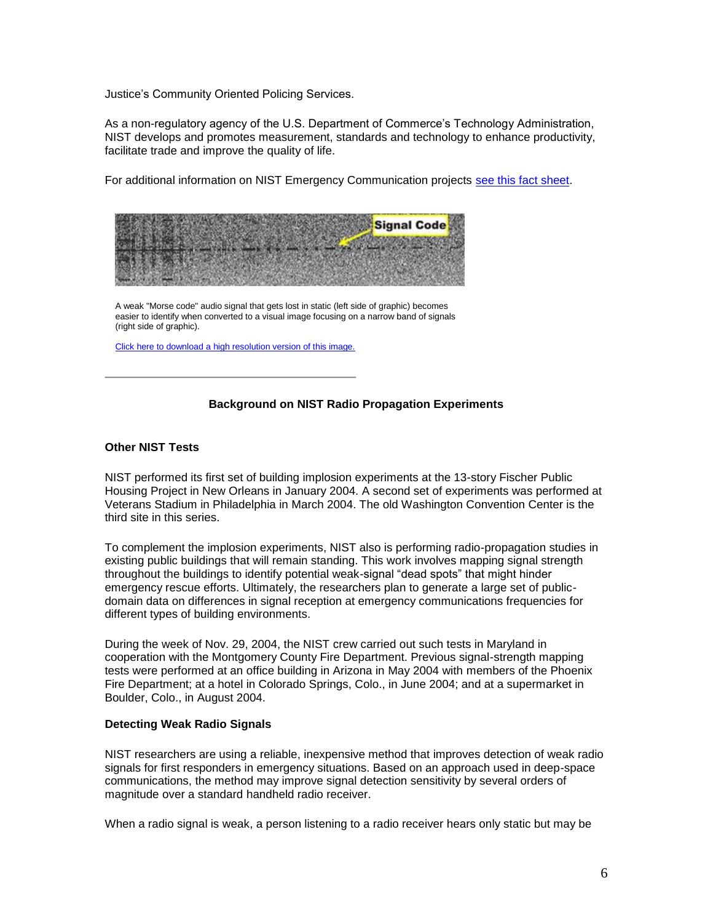Justice's Community Oriented Policing Services.

As a non-regulatory agency of the U.S. Department of Commerce's Technology Administration, NIST develops and promotes measurement, standards and technology to enhance productivity, facilitate trade and improve the quality of life.

For additional information on NIST Emergency Communication projects [see this fact sheet.](http://www.nist.gov/public_affairs/factsheet/improving_first_resp_comm.pdf)

|  | <b>Signal Code</b> |
|--|--------------------|
|  |                    |
|  |                    |
|  |                    |

A weak "Morse code" audio signal that gets lost in static (left side of graphic) becomes easier to identify when converted to a visual image focusing on a narrow band of signals (right side of graphic).

[Click here to download a high resolution version of this image.](http://www.nist.gov/public_affairs/images/Morse_Code_Signal.tif)

#### **Background on NIST Radio Propagation Experiments**

#### **Other NIST Tests**

NIST performed its first set of building implosion experiments at the 13-story Fischer Public Housing Project in New Orleans in January 2004. A second set of experiments was performed at Veterans Stadium in Philadelphia in March 2004. The old Washington Convention Center is the third site in this series.

To complement the implosion experiments, NIST also is performing radio-propagation studies in existing public buildings that will remain standing. This work involves mapping signal strength throughout the buildings to identify potential weak-signal "dead spots" that might hinder emergency rescue efforts. Ultimately, the researchers plan to generate a large set of publicdomain data on differences in signal reception at emergency communications frequencies for different types of building environments.

During the week of Nov. 29, 2004, the NIST crew carried out such tests in Maryland in cooperation with the Montgomery County Fire Department. Previous signal-strength mapping tests were performed at an office building in Arizona in May 2004 with members of the Phoenix Fire Department; at a hotel in Colorado Springs, Colo., in June 2004; and at a supermarket in Boulder, Colo., in August 2004.

#### **Detecting Weak Radio Signals**

NIST researchers are using a reliable, inexpensive method that improves detection of weak radio signals for first responders in emergency situations. Based on an approach used in deep-space communications, the method may improve signal detection sensitivity by several orders of magnitude over a standard handheld radio receiver.

When a radio signal is weak, a person listening to a radio receiver hears only static but may be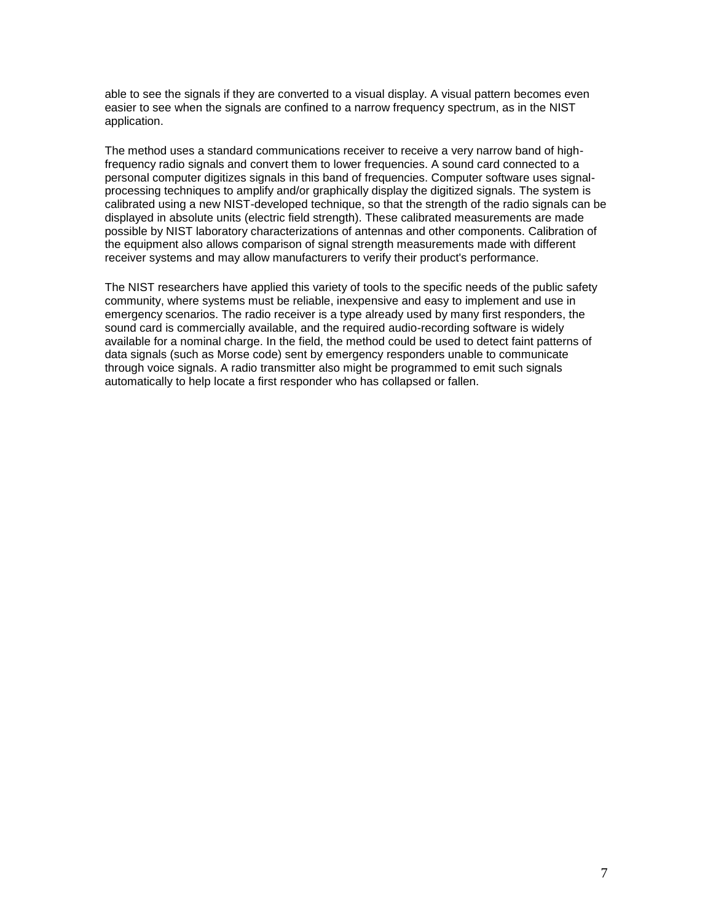able to see the signals if they are converted to a visual display. A visual pattern becomes even easier to see when the signals are confined to a narrow frequency spectrum, as in the NIST application.

The method uses a standard communications receiver to receive a very narrow band of highfrequency radio signals and convert them to lower frequencies. A sound card connected to a personal computer digitizes signals in this band of frequencies. Computer software uses signalprocessing techniques to amplify and/or graphically display the digitized signals. The system is calibrated using a new NIST-developed technique, so that the strength of the radio signals can be displayed in absolute units (electric field strength). These calibrated measurements are made possible by NIST laboratory characterizations of antennas and other components. Calibration of the equipment also allows comparison of signal strength measurements made with different receiver systems and may allow manufacturers to verify their product's performance.

The NIST researchers have applied this variety of tools to the specific needs of the public safety community, where systems must be reliable, inexpensive and easy to implement and use in emergency scenarios. The radio receiver is a type already used by many first responders, the sound card is commercially available, and the required audio-recording software is widely available for a nominal charge. In the field, the method could be used to detect faint patterns of data signals (such as Morse code) sent by emergency responders unable to communicate through voice signals. A radio transmitter also might be programmed to emit such signals automatically to help locate a first responder who has collapsed or fallen.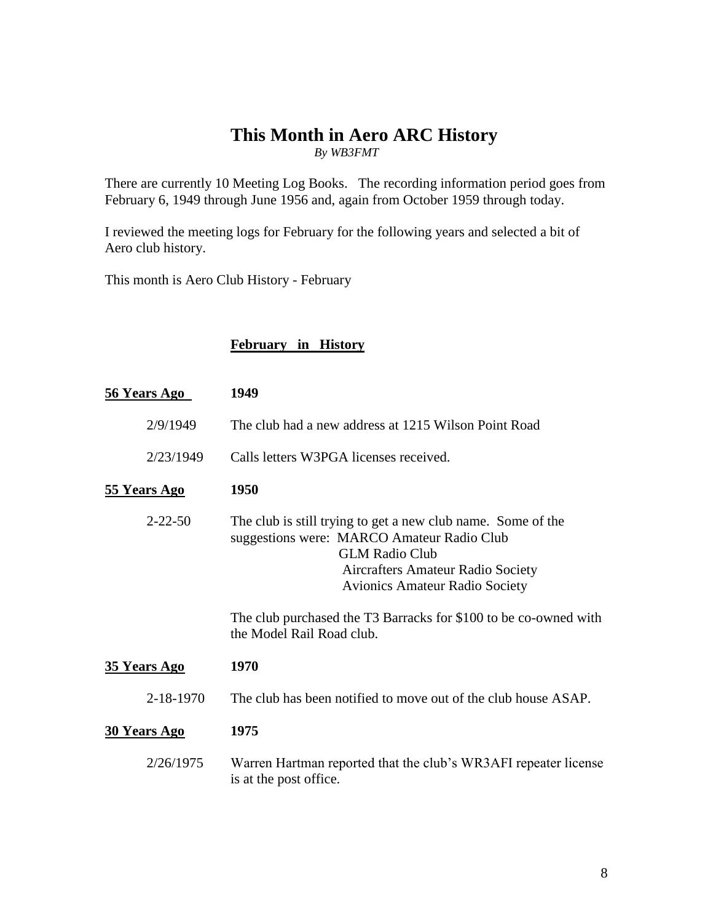### **This Month in Aero ARC History** *By WB3FMT*

There are currently 10 Meeting Log Books. The recording information period goes from February 6, 1949 through June 1956 and, again from October 1959 through today.

I reviewed the meeting logs for February for the following years and selected a bit of Aero club history.

This month is Aero Club History - February

### **February in History**

| <b>56 Years Ago</b> | 1949                                                                                                                                                                                                                                                                                                               |
|---------------------|--------------------------------------------------------------------------------------------------------------------------------------------------------------------------------------------------------------------------------------------------------------------------------------------------------------------|
| 2/9/1949            | The club had a new address at 1215 Wilson Point Road                                                                                                                                                                                                                                                               |
| 2/23/1949           | Calls letters W3PGA licenses received.                                                                                                                                                                                                                                                                             |
| <b>55 Years Ago</b> | 1950                                                                                                                                                                                                                                                                                                               |
| $2 - 22 - 50$       | The club is still trying to get a new club name. Some of the<br>suggestions were: MARCO Amateur Radio Club<br><b>GLM Radio Club</b><br>Aircrafters Amateur Radio Society<br><b>Avionics Amateur Radio Society</b><br>The club purchased the T3 Barracks for \$100 to be co-owned with<br>the Model Rail Road club. |
| <b>35 Years Ago</b> | 1970                                                                                                                                                                                                                                                                                                               |
| 2-18-1970           | The club has been notified to move out of the club house ASAP.                                                                                                                                                                                                                                                     |
| <b>30 Years Ago</b> | 1975                                                                                                                                                                                                                                                                                                               |
| 2/26/1975           | Warren Hartman reported that the club's WR3AFI repeater license<br>is at the post office.                                                                                                                                                                                                                          |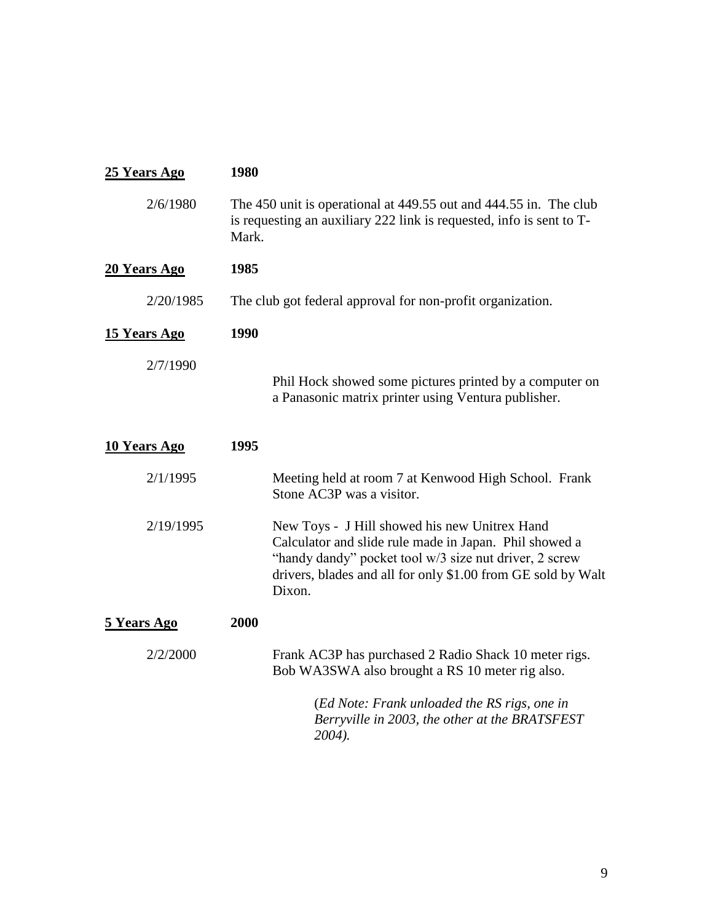| 25 Years Ago        | 1980                                                                                                                                                                                                                                        |  |  |
|---------------------|---------------------------------------------------------------------------------------------------------------------------------------------------------------------------------------------------------------------------------------------|--|--|
| 2/6/1980            | The 450 unit is operational at 449.55 out and 444.55 in. The club<br>is requesting an auxiliary 222 link is requested, info is sent to T-<br>Mark.                                                                                          |  |  |
| 20 Years Ago        | 1985                                                                                                                                                                                                                                        |  |  |
| 2/20/1985           | The club got federal approval for non-profit organization.                                                                                                                                                                                  |  |  |
| <b>15 Years Ago</b> | 1990                                                                                                                                                                                                                                        |  |  |
| 2/7/1990            | Phil Hock showed some pictures printed by a computer on<br>a Panasonic matrix printer using Ventura publisher.                                                                                                                              |  |  |
| <b>10 Years Ago</b> | 1995                                                                                                                                                                                                                                        |  |  |
| 2/1/1995            | Meeting held at room 7 at Kenwood High School. Frank<br>Stone AC3P was a visitor.                                                                                                                                                           |  |  |
| 2/19/1995           | New Toys - J Hill showed his new Unitrex Hand<br>Calculator and slide rule made in Japan. Phil showed a<br>"handy dandy" pocket tool w/3 size nut driver, 2 screw<br>drivers, blades and all for only \$1.00 from GE sold by Walt<br>Dixon. |  |  |
| 5 Years Ago         | 2000                                                                                                                                                                                                                                        |  |  |
| 2/2/2000            | Frank AC3P has purchased 2 Radio Shack 10 meter rigs.<br>Bob WA3SWA also brought a RS 10 meter rig also.                                                                                                                                    |  |  |
|                     | (Ed Note: Frank unloaded the RS rigs, one in<br>Berryville in 2003, the other at the BRATSFEST<br>2004).                                                                                                                                    |  |  |